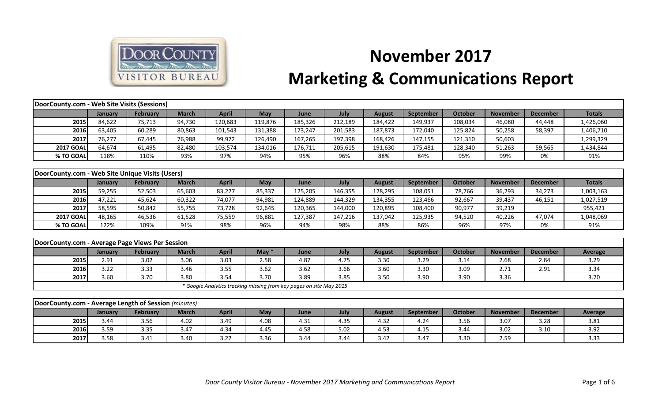

## **November 2017 Marketing & Communications Report**

| DoorCounty.com - Web Site Visits (Sessions)          |         |                 |              |              |                                                                     |         |         |               |           |                |                 |                 |                |
|------------------------------------------------------|---------|-----------------|--------------|--------------|---------------------------------------------------------------------|---------|---------|---------------|-----------|----------------|-----------------|-----------------|----------------|
|                                                      | January | <b>February</b> | <b>March</b> | <b>April</b> | <b>May</b>                                                          | June    | July    | <b>August</b> | September | <b>October</b> | <b>November</b> | <b>December</b> | <b>Totals</b>  |
| 2015                                                 | 84,622  | 75,713          | 94,730       | 120,683      | 119,876                                                             | 185,326 | 212,189 | 184,422       | 149,937   | 108,034        | 46,080          | 44,448          | 1,426,060      |
| 2016                                                 | 63,405  | 60,289          | 80,863       | 101,543      | 131,388                                                             | 173,247 | 201,583 | 187,873       | 172,040   | 125,824        | 50,258          | 58,397          | 1,406,710      |
| 2017                                                 | 76,277  | 67,445          | 76,988       | 99,972       | 126,490                                                             | 167,265 | 197,398 | 168,426       | 147,155   | 121,310        | 50,603          |                 | 1,299,329      |
| <b>2017 GOAL</b>                                     | 64,674  | 61,495          | 82,480       | 103,574      | 134,016                                                             | 176,711 | 205,615 | 191,630       | 175,481   | 128,340        | 51,263          | 59,565          | 1,434,844      |
| % TO GOAL                                            | 118%    | 110%            | 93%          | 97%          | 94%                                                                 | 95%     | 96%     | 88%           | 84%       | 95%            | 99%             | 0%              | 91%            |
|                                                      |         |                 |              |              |                                                                     |         |         |               |           |                |                 |                 |                |
| DoorCounty.com - Web Site Unique Visits (Users)      |         |                 |              |              |                                                                     |         |         |               |           |                |                 |                 |                |
|                                                      | January | February        | <b>March</b> | <b>April</b> | May                                                                 | June    | July    | <b>August</b> | September | <b>October</b> | <b>November</b> | <b>December</b> | <b>Totals</b>  |
| 2015                                                 | 59,255  | 52,503          | 65,603       | 83,227       | 85,337                                                              | 125,205 | 146,355 | 128,295       | 108,051   | 78,766         | 36,293          | 34,273          | 1,003,163      |
| 2016                                                 | 47,221  | 45,624          | 60,322       | 74,077       | 94,981                                                              | 124,889 | 144,329 | 134,355       | 123,466   | 92,667         | 39,437          | 46,151          | 1,027,519      |
| 2017                                                 | 58,595  | 50,842          | 55,755       | 73,728       | 92,645                                                              | 120,365 | 144,000 | 120,895       | 108,400   | 90,977         | 39,219          |                 | 955,421        |
| <b>2017 GOAL</b>                                     | 48,165  | 46,536          | 61,528       | 75,559       | 96,881                                                              | 127,387 | 147,216 | 137,042       | 125,935   | 94,520         | 40,226          | 47,074          | 1,048,069      |
| % TO GOAL                                            | 122%    | 109%            | 91%          | 98%          | 96%                                                                 | 94%     | 98%     | 88%           | 86%       | 96%            | 97%             | 0%              | 91%            |
|                                                      |         |                 |              |              |                                                                     |         |         |               |           |                |                 |                 |                |
| DoorCounty.com - Average Page Views Per Session      |         |                 |              |              |                                                                     |         |         |               |           |                |                 |                 |                |
|                                                      | January | <b>February</b> | <b>March</b> | <b>April</b> | May $*$                                                             | June    | July    | <b>August</b> | September | <b>October</b> | <b>November</b> | <b>December</b> | <b>Average</b> |
| 2015                                                 | 2.91    | 3.02            | 3.06         | 3.03         | 2.58                                                                | 4.87    | 4.75    | 3.30          | 3.29      | 3.14           | 2.68            | 2.84            | 3.29           |
| 2016                                                 | 3.22    | 3.33            | 3.46         | 3.55         | 3.62                                                                | 3.62    | 3.66    | 3.60          | 3.30      | 3.09           | 2.71            | 2.91            | 3.34           |
| 2017                                                 | 3.60    | 3.70            | 3.80         | 3.54         | 3.70                                                                | 3.89    | 3.85    | 3.50          | 3.90      | 3.90           | 3.36            |                 | 3.70           |
|                                                      |         |                 |              |              | * Google Analytics tracking missing from key pages on site May 2015 |         |         |               |           |                |                 |                 |                |
|                                                      |         |                 |              |              |                                                                     |         |         |               |           |                |                 |                 |                |
| DoorCounty.com - Average Length of Session (minutes) |         |                 |              |              |                                                                     |         |         |               |           |                |                 |                 |                |
|                                                      | January | February        | <b>March</b> | <b>April</b> | May                                                                 | June    | July    | <b>August</b> | September | <b>October</b> | <b>November</b> | <b>December</b> | Average        |
| 2015                                                 | 3.44    | 3.56            | 4.02         | 3.49         | 4.08                                                                | 4.31    | 4.35    | 4.32          | 4.24      | 3.56           | 3.07            | 3.28            | 3.81           |
| 2016                                                 | 3.59    | 3.35            | 3.47         | 4.34         | 4.45                                                                | 4.58    | 5.02    | 4.53          | 4.15      | 3.44           | 3.02            | 3.10            | 3.92           |
| 2017                                                 | 3.58    | 3.41            | 3.40         | 3.22         | 3.36                                                                | 3.44    | 3.44    | 3.42          | 3.47      | 3.30           | 2.59            |                 | 3.33           |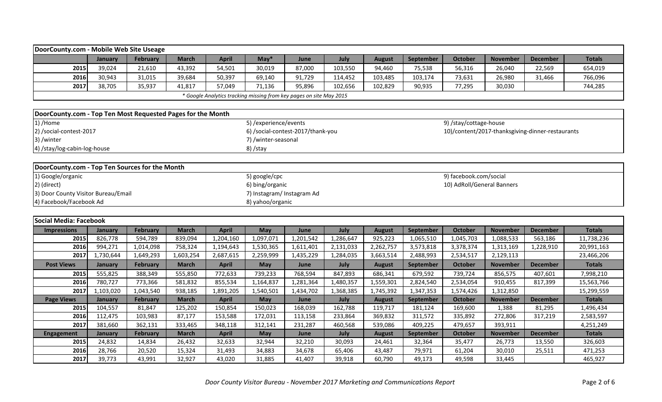| DoorCounty.com - Mobile Web Site Useage                     |                |                 |              |              |                           |                                                                     |           |               |                  |                            |                 |                                                  |               |
|-------------------------------------------------------------|----------------|-----------------|--------------|--------------|---------------------------|---------------------------------------------------------------------|-----------|---------------|------------------|----------------------------|-----------------|--------------------------------------------------|---------------|
|                                                             | January        | <b>February</b> | <b>March</b> | <b>April</b> | $May*$                    | June                                                                | July      | <b>August</b> | September        | <b>October</b>             | <b>November</b> | <b>December</b>                                  | <b>Totals</b> |
| 2015                                                        | 39,024         | 21,610          | 43,392       | 54,501       | 30,019                    | 87,000                                                              | 103,550   | 94,460        | 75,538           | 56,316                     | 26,040          | 22,569                                           | 654,019       |
| 2016                                                        | 30,943         | 31,015          | 39,684       | 50,397       | 69,140                    | 91,729                                                              | 114,452   | 103,485       | 103,174          | 73,631                     | 26,980          | 31,466                                           | 766,096       |
| 2017                                                        | 38,705         | 35,937          | 41,817       | 57,049       | 71,136                    | 95,896                                                              | 102,656   | 102,829       | 90,935           | 77,295                     | 30,030          |                                                  | 744,285       |
|                                                             |                |                 |              |              |                           | * Google Analytics tracking missing from key pages on site May 2015 |           |               |                  |                            |                 |                                                  |               |
|                                                             |                |                 |              |              |                           |                                                                     |           |               |                  |                            |                 |                                                  |               |
| DoorCounty.com - Top Ten Most Requested Pages for the Month |                |                 |              |              |                           |                                                                     |           |               |                  |                            |                 |                                                  |               |
| 1) /Home                                                    |                |                 |              |              | 5) / experience/ events   |                                                                     |           |               |                  | 9) /stay/cottage-house     |                 |                                                  |               |
| 2) /social-contest-2017                                     |                |                 |              |              |                           | 6) /social-contest-2017/thank-you                                   |           |               |                  |                            |                 | 10)/content/2017-thanksgiving-dinner-restaurants |               |
| 3) /winter                                                  |                |                 |              |              | 7) /winter-seasonal       |                                                                     |           |               |                  |                            |                 |                                                  |               |
| 4) /stay/log-cabin-log-house                                |                |                 |              |              | 8) /stay                  |                                                                     |           |               |                  |                            |                 |                                                  |               |
|                                                             |                |                 |              |              |                           |                                                                     |           |               |                  |                            |                 |                                                  |               |
| DoorCounty.com - Top Ten Sources for the Month              |                |                 |              |              |                           |                                                                     |           |               |                  |                            |                 |                                                  |               |
| 1) Google/organic                                           |                |                 |              |              | 5) google/cpc             |                                                                     |           |               |                  | 9) facebook.com/social     |                 |                                                  |               |
| 2) (direct)                                                 |                |                 |              |              | 6) bing/organic           |                                                                     |           |               |                  | 10) AdRoll/General Banners |                 |                                                  |               |
| 3) Door County Visitor Bureau/Email                         |                |                 |              |              | 7) Instagram/Instagram Ad |                                                                     |           |               |                  |                            |                 |                                                  |               |
| 4) Facebook/Facebook Ad                                     |                |                 |              |              | 8) yahoo/organic          |                                                                     |           |               |                  |                            |                 |                                                  |               |
|                                                             |                |                 |              |              |                           |                                                                     |           |               |                  |                            |                 |                                                  |               |
| <b>Social Media: Facebook</b>                               |                |                 |              |              |                           |                                                                     |           |               |                  |                            |                 |                                                  |               |
| <b>Impressions</b>                                          | <b>January</b> | February        | <b>March</b> | <b>April</b> | May                       | June                                                                | July      | <b>August</b> | September        | <b>October</b>             | <b>November</b> | <b>December</b>                                  | <b>Totals</b> |
| 2015                                                        | 826,778        | 594,789         | 839,094      | 1,204,160    | 1,097,071                 | 1,201,542                                                           | 1,286,647 | 925,223       | 1,065,510        | 1,045,703                  | 1,088,533       | 563,186                                          | 11,738,236    |
| 2016                                                        | 994,271        | 1,014,098       | 758,324      | 1,194,643    | 1,530,365                 | 1,611,401                                                           | 2,131,033 | 2,262,757     | 3,573,818        | 3,378,374                  | 1,313,169       | 1,228,910                                        | 20,991,163    |
| 2017                                                        | 1,730,644      | 1,649,293       | 1,603,254    | 2,687,615    | 2,259,999                 | 1,435,229                                                           | 1,284,035 | 3,663,514     | 2,488,993        | 2,534,517                  | 2,129,113       |                                                  | 23,466,206    |
| <b>Post Views</b>                                           | <b>January</b> | <b>February</b> | <b>March</b> | <b>April</b> | May                       | June                                                                | July      | <b>August</b> | <b>September</b> | <b>October</b>             | <b>November</b> | <b>December</b>                                  | <b>Totals</b> |
| 2015                                                        | 555,825        | 388,349         | 555,850      | 772,633      | 739,233                   | 768,594                                                             | 847,893   | 686,341       | 679,592          | 739,724                    | 856,575         | 407,601                                          | 7,998,210     |
| 2016                                                        | 780,727        | 773,366         | 581,832      | 855,534      | 1,164,837                 | 1,281,364                                                           | 1,480,357 | 1,559,301     | 2,824,540        | 2,534,054                  | 910,455         | 817,399                                          | 15,563,766    |
| 2017                                                        | 1,103,020      | 1,043,540       | 938,185      | 1,891,205    | 1,540,501                 | 1,434,702                                                           | 1,368,385 | 1,745,392     | 1,347,353        | 1,574,426                  | 1,312,850       |                                                  | 15,299,559    |
| <b>Page Views</b>                                           | <b>January</b> | <b>February</b> | <b>March</b> | <b>April</b> | May                       | June                                                                | July      | <b>August</b> | September        | <b>October</b>             | <b>November</b> | <b>December</b>                                  | <b>Totals</b> |
| 2015                                                        | 104,557        | 81,847          | 125,202      | 150,854      | 150,023                   | 168,039                                                             | 162,788   | 119,717       | 181,124          | 169,600                    | 1,388           | 81,295                                           | 1,496,434     |
| 2016                                                        | 112,475        | 103,983         | 87,177       | 153,588      | 172,031                   | 113,158                                                             | 233,864   | 369,832       | 311,572          | 335,892                    | 272,806         | 317,219                                          | 2,583,597     |
| 2017                                                        | 381,660        | 362,131         | 333,465      | 348,118      | 312,141                   | 231,287                                                             | 460,568   | 539,086       | 409,225          | 479,657                    | 393,911         |                                                  | 4,251,249     |
| <b>Engagement</b>                                           | <b>January</b> | <b>February</b> | <b>March</b> | <b>April</b> | May                       | June                                                                | July      | <b>August</b> | September        | <b>October</b>             | <b>November</b> | <b>December</b>                                  | <b>Totals</b> |
| 2015                                                        | 24,832         | 14,834          | 26,432       | 32,633       | 32,944                    | 32,210                                                              | 30,093    | 24,461        | 32,364           | 35,477                     | 26,773          | 13,550                                           | 326,603       |
| 2016                                                        | 28,766         | 20,520          | 15,324       | 31,493       | 34,883                    | 34,678                                                              | 65,406    | 43,487        | 79,971           | 61,204                     | 30,010          | 25,511                                           | 471,253       |
| 2017                                                        | 39,773         | 43,991          | 32,927       | 43,020       | 31,885                    | 41,407                                                              | 39,918    | 60,790        | 49,173           | 49,598                     | 33,445          |                                                  | 465,927       |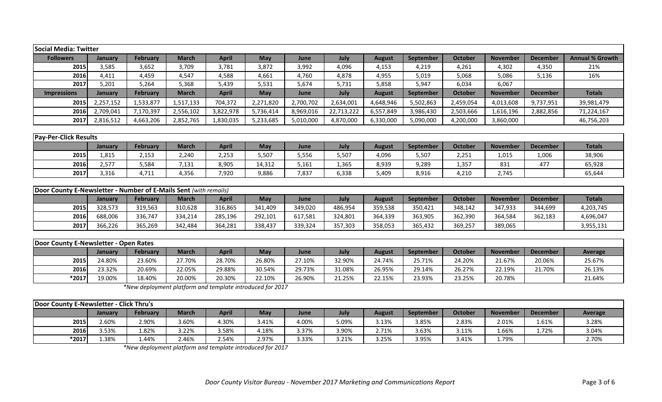| <b>Social Media: Twitter</b>                                     |           |                 |              |              |            |           |            |               |                  |                |                 |                 |                        |
|------------------------------------------------------------------|-----------|-----------------|--------------|--------------|------------|-----------|------------|---------------|------------------|----------------|-----------------|-----------------|------------------------|
| <b>Followers</b>                                                 | January   | <b>February</b> | <b>March</b> | <b>April</b> | May        | June      | July       | <b>August</b> | September        | <b>October</b> | <b>November</b> | <b>December</b> | <b>Annual % Growth</b> |
| 2015                                                             | 3,585     | 3,652           | 3,709        | 3,781        | 3,872      | 3,992     | 4,096      | 4,153         | 4,219            | 4,261          | 4,302           | 4,350           | 21%                    |
| 2016                                                             | 4,411     | 4,459           | 4,547        | 4,588        | 4,661      | 4,760     | 4,878      | 4,955         | 5,019            | 5,068          | 5,086           | 5,136           | 16%                    |
| 2017                                                             | 5,201     | 5,264           | 5,368        | 5,439        | 5,531      | 5,674     | 5,731      | 5,858         | 5,947            | 6,034          | 6,067           |                 |                        |
| <b>Impressions</b>                                               | January   | <b>February</b> | <b>March</b> | <b>April</b> | <b>May</b> | June      | July       | <b>August</b> | <b>September</b> | <b>October</b> | <b>November</b> | <b>December</b> | <b>Totals</b>          |
| 2015                                                             | 2,257,152 | 1,533,877       | 1,517,133    | 704,372      | 2,271,820  | 2,700,702 | 2,634,001  | 4,648,946     | 5,502,863        | 2,459,054      | 4,013,608       | 9,737,951       | 39,981,479             |
| 2016                                                             | 2,709,041 | 7,170,397       | 2,556,102    | 3,822,978    | 5,736,414  | 8,969,016 | 22,713,222 | 6,557,849     | 3,986,430        | 2,503,666      | 1,616,196       | 2,882,856       | 71,224,167             |
| 2017                                                             | 2,816,512 | 4,663,206       | 2,852,765    | 1,830,035    | 5,233,685  | 5,010,000 | 4,870,000  | 6,330,000     | 5,090,000        | 4,200,000      | 3,860,000       |                 | 46,756,203             |
|                                                                  |           |                 |              |              |            |           |            |               |                  |                |                 |                 |                        |
| <b>Pay-Per-Click Results</b>                                     |           |                 |              |              |            |           |            |               |                  |                |                 |                 |                        |
|                                                                  | January   | <b>February</b> | <b>March</b> | <b>April</b> | May        | June      | July       | <b>August</b> | September        | <b>October</b> | <b>November</b> | <b>December</b> | <b>Totals</b>          |
| 2015                                                             | 1,815     | 2,153           | 2,240        | 2,253        | 5,507      | 5,556     | 5,507      | 4,096         | 5,507            | 2,251          | 1,015           | 1,006           | 38,906                 |
| 2016                                                             | 2,577     | 5,584           | 7,131        | 8,905        | 14,312     | 5,161     | 1,365      | 8,939         | 9,289            | 1,357          | 831             | 477             | 65,928                 |
| 2017                                                             | 3,316     | 4,711           | 4,356        | 7,920        | 9,886      | 7,837     | 6,338      | 5,409         | 8,916            | 4,210          | 2,745           |                 | 65,644                 |
|                                                                  |           |                 |              |              |            |           |            |               |                  |                |                 |                 |                        |
| Door County E-Newsletter - Number of E-Mails Sent (with remails) |           |                 |              |              |            |           |            |               |                  |                |                 |                 |                        |
|                                                                  | January   | <b>February</b> | <b>March</b> | <b>April</b> | May        | June      | July       | <b>August</b> | September        | <b>October</b> | <b>November</b> | <b>December</b> | <b>Totals</b>          |
| 2015                                                             | 328,573   | 319,563         | 310,628      | 316,865      | 341,409    | 349,020   | 486,954    | 359,538       | 350,421          | 348,142        | 347,933         | 344,699         | 4,203,745              |
| 2016                                                             | 688,006   | 336,747         | 334,214      | 285,196      | 292,101    | 617,581   | 324,801    | 364,339       | 363,905          | 362,390        | 364,584         | 362,183         | 4,696,047              |
| 2017                                                             | 366,226   | 365,269         | 342,484      | 364,281      | 338,437    | 339,324   | 357,303    | 358,053       | 365,432          | 369,257        | 389,065         |                 | 3,955,131              |
|                                                                  |           |                 |              |              |            |           |            |               |                  |                |                 |                 |                        |
| Door County E-Newsletter - Open Rates                            |           |                 |              |              |            |           |            |               |                  |                |                 |                 |                        |
|                                                                  | January   | <b>February</b> | <b>March</b> | <b>April</b> | May        | June      | July       | <b>August</b> | September        | <b>October</b> | <b>November</b> | <b>December</b> | <b>Average</b>         |
| 2015                                                             | 24.80%    | 23.60%          | 27.70%       | 28.70%       | 26.80%     | 27.10%    | 32.90%     | 24.74%        | 25.71%           | 24.20%         | 21.67%          | 20.06%          | 25.67%                 |

*\*New deployment platform and template introduced for 2017*

| Door County E-Newsletter - Click Thru's |         |          |       |              |            |       |       |        |                  |         |                 |                 |                |
|-----------------------------------------|---------|----------|-------|--------------|------------|-------|-------|--------|------------------|---------|-----------------|-----------------|----------------|
|                                         | January | February | March | April        | <b>May</b> | June  | July  | August | <b>September</b> | October | <b>November</b> | <b>December</b> | <b>Average</b> |
| 2015                                    | 2.60%   | 2.90%    | 3.60% | <b>1.30%</b> | 3.41%      | 4.00% | 5.09% | 3.13%  | 3.85%            | 2.83%   | 2.01%           | 1.61%           | 3.28%          |
| 2016                                    | 3.53%   | L.82%    | 3.22% | 3.58%        | 4.18%      | 3.37% | 3.90% | 2.71%  | 3.63%            | 3.11%   | 1.66%           | 1.72%           | 3.04%          |
| $*2017$                                 | 1.38%   | 1.44%    | 2.46% | 2.54%        | 2.97%      | 3.33% | 3.21% | 3.25%  | 3.95%            | 3.41%   | 1.79%           |                 | 2.70%          |

**2016** 23.32% 20.69% 22.05% 29.88% 30.54% 29.73% 31.08% 26.95% 29.14% 26.27% 22.19% 21.70% 26.13% **\*2017** 19.00% 18.40% 20.00% 20.30% 22.10% 26.90% 21.25% 22.15% 23.93% 23.25% 20.78% 21.64%

*\*New deployment platform and template introduced for 2017*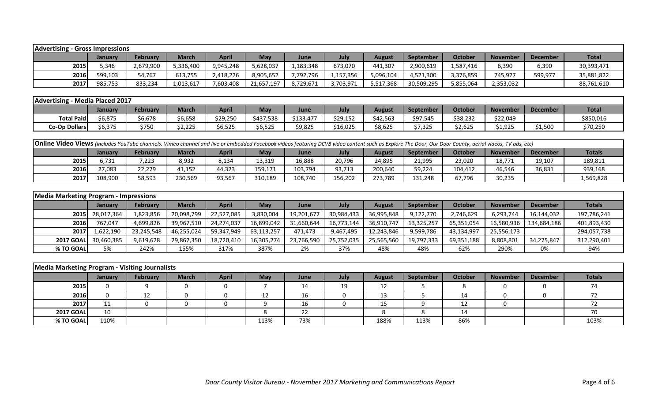| <b>Advertising - Gross Impressions</b> |         |           |              |              |            |             |           |           |            |           |                 |                 |              |
|----------------------------------------|---------|-----------|--------------|--------------|------------|-------------|-----------|-----------|------------|-----------|-----------------|-----------------|--------------|
|                                        | Januarv | February  | <b>March</b> | <b>April</b> | <b>May</b> | <b>June</b> | July      | August    | September  | October   | <b>November</b> | <b>December</b> | <b>Total</b> |
| 2015                                   | 5.346   | 2,679,900 | 5,336,400    | 9,945,248    | 5,628,037  | 1,183,348   | 673,070   | 441,307   | 2,900,619  | 1,587,416 | 6,390           | 6,390           | 30,393,471   |
| 2016                                   | 599,103 | 54,767    | 613,755      | 2,418,226    | 8,905,652  | 7,792,796   | 1,157,356 | 5,096,104 | 4,521,300  | 3,376,859 | 745,927         | 599,977         | 35,881,822   |
| 2017                                   | 985,753 | 833,234   | 1,013,617    | 7,603,408    | 21,657,197 | 8,729,671   | 3,703,971 | 5,517,368 | 30,509,295 | 5,855,064 | 2,353,032       |                 | 88,761,610   |

| Advertising - Media Placed 2017 |         |         |                   |          |                                 |           |          |          |           |                |                 |                 |              |
|---------------------------------|---------|---------|-------------------|----------|---------------------------------|-----------|----------|----------|-----------|----------------|-----------------|-----------------|--------------|
|                                 | January | Februar | <b>March</b>      | April    | <b>May</b>                      | June      | July     | August   | September | <b>October</b> | <b>November</b> | <b>December</b> | <b>Total</b> |
| <b>Total Paid</b>               | 6,875   | 6,678،  | \$6,658           | \$29,250 | \$437,538                       | \$133,477 | \$29,152 | \$42,563 | \$97,545  | \$38,232       | \$22,049        |                 | \$850,016    |
| <b>Co-Op Dollars</b>            | \$6,375 | \$750   | חרר ר<br>ل کے رکز | \$6,525  | $\sim$ $\sim$ $\sim$<br>\$6,525 | 9,825خ    | \$16,025 | \$8,625  | \$7,325   | \$2,625        | \$1,925         | \$1,500         | \$70,250     |

|                                                                                                                                                                            | <b>Online Video Views</b> (includes YouTube channels, Vimeo channel and live or embedded Facebook videos featuring DCVB video content such as Explore The Door, Our Door County, aerial videos, TV ads, etc) |        |         |        |         |         |         |         |         |         |        |        |           |  |
|----------------------------------------------------------------------------------------------------------------------------------------------------------------------------|--------------------------------------------------------------------------------------------------------------------------------------------------------------------------------------------------------------|--------|---------|--------|---------|---------|---------|---------|---------|---------|--------|--------|-----------|--|
| April<br><b>Totals</b><br>October<br><b>February</b><br>May<br>September<br><b>March</b><br>July<br><b>November</b><br><b>December</b><br><b>June</b><br>August<br>Januarv |                                                                                                                                                                                                              |        |         |        |         |         |         |         |         |         |        |        |           |  |
| 2015                                                                                                                                                                       | 731,د                                                                                                                                                                                                        | 7,223  | 8,932   | 8,134  | 13,319  | 16,888  | 20,796  | 24,895  | 21,995  | 23,020  | 18,771 | 19,107 | 189,811   |  |
| 2016                                                                                                                                                                       | 27,083                                                                                                                                                                                                       | 22,279 | 41,152  | 44,323 | 159,171 | 103,794 | 93,713  | 200,640 | 59,224  | 104,412 | 46,546 | 36,831 | 939,168   |  |
| 2017                                                                                                                                                                       | 108.900                                                                                                                                                                                                      | 58,593 | 230,569 | 93,567 | 310,189 | 108,740 | 156,202 | 273,789 | 131,248 | 67,796  | 30,235 |        | L,569,828 |  |

| <b>Media Marketing Program - Impressions</b> |                 |            |              |              |            |             |            |               |                  |            |                 |                 |             |
|----------------------------------------------|-----------------|------------|--------------|--------------|------------|-------------|------------|---------------|------------------|------------|-----------------|-----------------|-------------|
|                                              | January         | February   | <b>March</b> | <b>April</b> | May        | <b>June</b> | July       | <b>August</b> | <b>September</b> | October    | <b>November</b> | <b>December</b> | Totals      |
|                                              | 2015 28,017,364 | 1,823,856  | 20,098,799   | 22,527,085   | 3,830,004  | 19,201,677  | 30,984,433 | 36,995,848    | 9,122,770        | 2,746,629  | 6,293,744       | 16,144,032      | 197,786,241 |
| 2016                                         | 767.047         | 4,699,826  | 39,967,510   | 24,274,037   | 16,899,042 | 31,660,644  | 16,773,144 | 36,910,747    | 13,325,257       | 65,351,054 | 16,580,936      | 134,684,186     | 401,893,430 |
| 20171                                        | 1,622,190       | 23,245,548 | 46,255,024   | 59,347,949   | 63,113,257 | 471.473     | 9,467,495  | 12,243,846    | 9,599,786        | 43,134,997 | 25,556,173      |                 | 294,057,738 |
| <b>2017 GOAL</b>                             | 30,460,385      | 9,619,628  | 29,867,350   | 18,720,410   | 16,305,274 | 23,766,590  | 25,752,035 | 25,565,560    | 19,797,333       | 69,351,188 | 8,808,801       | 34,275,847      | 312,290,401 |
| % TO GOAL                                    | 5%              | 242%       | 155%         | 317%         | 387%       | 2%          | 37%        | 48%           | 48%              | 62%        | 290%            | 0%              | 94%         |

| Media Marketing Program - Visiting Journalists |         |          |              |              |            |      |      |               |           |                |                 |                 |               |
|------------------------------------------------|---------|----------|--------------|--------------|------------|------|------|---------------|-----------|----------------|-----------------|-----------------|---------------|
|                                                | January | February | <b>March</b> | <b>April</b> | <b>May</b> | June | July | <b>August</b> | September | <b>October</b> | <b>November</b> | <b>December</b> | <b>Totals</b> |
| 2015                                           |         |          |              |              |            | 14   | 19   | 12            |           |                |                 |                 |               |
| 2016                                           |         | 12       |              |              |            | 16   |      | 12<br>ᅩ       |           | 14             |                 |                 |               |
| 2017                                           |         |          |              |              |            | 16   |      | ᅩ             |           | 12             |                 |                 |               |
| <b>2017 GOAL</b>                               | 10      |          |              |              |            | 22   |      |               |           | 14             |                 |                 |               |
| % TO GOAL                                      | 110%    |          |              |              | 113%       | 73%  |      | 188%          | 113%      | 86%            |                 |                 | 103%          |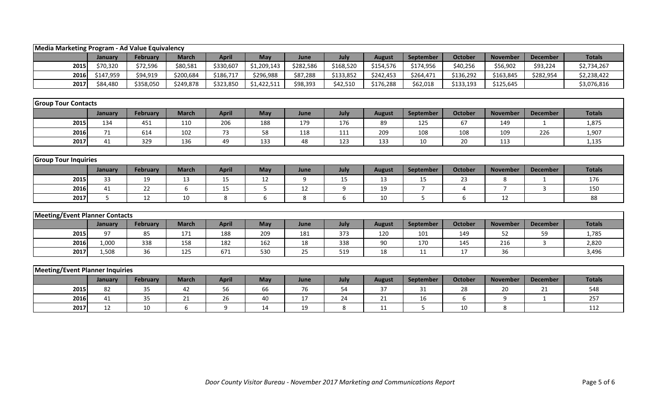| Media Marketing Program - Ad Value Equivalency |           |                 |              |              |             |           |           |               |                |                |                 |                 |               |
|------------------------------------------------|-----------|-----------------|--------------|--------------|-------------|-----------|-----------|---------------|----------------|----------------|-----------------|-----------------|---------------|
|                                                | January   | <b>February</b> | <b>March</b> | <b>April</b> | May         | June      | July      | <b>August</b> | September      | <b>October</b> | <b>November</b> | <b>December</b> | <b>Totals</b> |
| 2015                                           | \$70,320  | \$72,596        | \$80,581     | \$330,607    | \$1,209,143 | \$282,586 | \$168,520 | \$154,576     | \$174,956      | \$40,256       | \$56,902        | \$93,224        | \$2,734,267   |
| 2016                                           | \$147,959 | \$94,919        | \$200,684    | \$186,717    | \$296,988   | \$87,288  | \$133,852 | \$242,453     | \$264,471      | \$136,292      | \$163,845       | \$282,954       | \$2,238,422   |
| 2017                                           | \$84,480  | \$358,050       | \$249,878    | \$323,850    | \$1,422,511 | \$98,393  | \$42,510  | \$176,288     | \$62,018       | \$133,193      | \$125,645       |                 | \$3,076,816   |
|                                                |           |                 |              |              |             |           |           |               |                |                |                 |                 |               |
| <b>Group Tour Contacts</b>                     |           |                 |              |              |             |           |           |               |                |                |                 |                 |               |
|                                                | January   | <b>February</b> | <b>March</b> | <b>April</b> | May         | June      | July      | <b>August</b> | September      | <b>October</b> | <b>November</b> | <b>December</b> | <b>Totals</b> |
| 2015                                           | 134       | 451             | 110          | 206          | 188         | 179       | 176       | 89            | 125            | 67             | 149             | $\mathbf{1}$    | 1,875         |
| 2016                                           | 71        | 614             | 102          | 73           | 58          | 118       | 111       | 209           | 108            | 108            | 109             | 226             | 1,907         |
| 2017                                           | 41        | 329             | 136          | 49           | 133         | 48        | 123       | 133           | 10             | 20             | 113             |                 | 1,135         |
|                                                |           |                 |              |              |             |           |           |               |                |                |                 |                 |               |
| <b>Group Tour Inquiries</b>                    |           |                 |              |              |             |           |           |               |                |                |                 |                 |               |
|                                                | January   | <b>February</b> | <b>March</b> | <b>April</b> | May         | June      | July      | <b>August</b> | September      | <b>October</b> | <b>November</b> | <b>December</b> | <b>Totals</b> |
| 2015                                           | 33        | 19              | 13           | 15           | 12          | 9         | 15        | 13            | 15             | 23             | 8               | -1              | 176           |
| 2016                                           | 41        | 22              | 6            | 15           | 5           | 12        | 9         | 19            | $\overline{7}$ | $\overline{4}$ | $\overline{7}$  | 3               | 150           |
| 2017                                           | 5         | 12              | 10           | 8            | 6           | 8         | 6         | 10            | 5              | 6              | 12              |                 | 88            |
|                                                |           |                 |              |              |             |           |           |               |                |                |                 |                 |               |
| <b>Meeting/Event Planner Contacts</b>          |           |                 |              |              |             |           |           |               |                |                |                 |                 |               |
|                                                | January   | <b>February</b> | <b>March</b> | <b>April</b> | May         | June      | July      | <b>August</b> | September      | <b>October</b> | <b>November</b> | <b>December</b> | <b>Totals</b> |
| 2015                                           | 97        | 85              | 171          | 188          | 209         | 181       | 373       | 120           | 101            | 149            | 52              | 59              | 1,785         |
| 2016                                           | 1,000     | 338             | 158          | 182          | 162         | 18        | 338       | 90            | 170            | 145            | 216             | 3               | 2,820         |
| 2017                                           | 1,508     | 36              | 125          | 671          | 530         | 25        | 519       | 18            | 11             | 17             | 36              |                 | 3,496         |
|                                                |           |                 |              |              |             |           |           |               |                |                |                 |                 |               |
| <b>Meeting/Event Planner Inquiries</b>         |           |                 |              |              |             |           |           |               |                |                |                 |                 |               |
|                                                | January   | <b>February</b> | <b>March</b> | <b>April</b> | May         | June      | July      | <b>August</b> | September      | <b>October</b> | <b>November</b> | <b>December</b> | <b>Totals</b> |
| 2015                                           | 82        | 35              | 42           | 56           | 66          | 76        | 54        | 37            | 31             | 28             | 20              | 21              | 548           |
| 2016                                           | 41        | 35              | 21           | 26           | 40          | 17        | 24        | 21            | 16             | 6              | 9               | $\mathbf{1}$    | 257           |
| 2017                                           | 12        | 10              | 6            | 9            | 14          | 19        | 8         | 11            | 5              | 10             | 8               |                 | 112           |